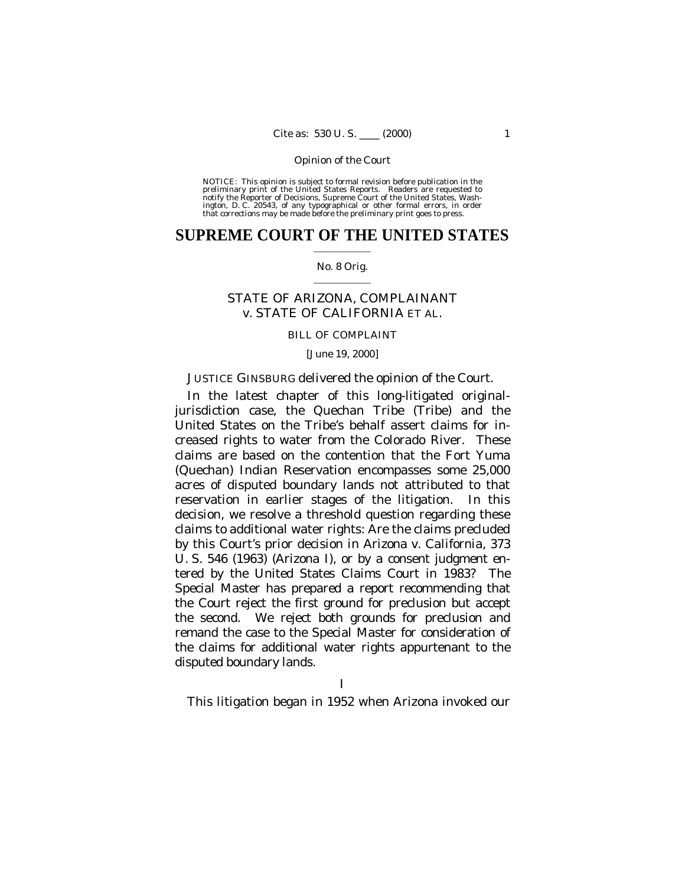NOTICE: This opinion is subject to formal revision before publication in the preliminary print of the United States Reports. Readers are requested to notify the Reporter of Decisions, Supreme Court of the United States, Wa

## **SUPREME COURT OF THE UNITED STATES**  $\mathcal{L}=\mathcal{L}^{\mathcal{L}}$  , where  $\mathcal{L}^{\mathcal{L}}$

#### No. 8 Orig.  $\mathcal{L}=\mathcal{L}^{\mathcal{L}}$  , where  $\mathcal{L}^{\mathcal{L}}$

# STATE OF ARIZONA, COMPLAINANT *v.* STATE OF CALIFORNIA ET AL.

## BILL OF COMPLAINT

#### [June 19, 2000]

## JUSTICE GINSBURG delivered the opinion of the Court.

In the latest chapter of this long-litigated originaljurisdiction case, the Quechan Tribe (Tribe) and the United States on the Tribe's behalf assert claims for increased rights to water from the Colorado River. These claims are based on the contention that the Fort Yuma (Quechan) Indian Reservation encompasses some 25,000 acres of disputed boundary lands not attributed to that reservation in earlier stages of the litigation. In this decision, we resolve a threshold question regarding these claims to additional water rights: Are the claims precluded by this Court's prior decision in *Arizona* v. *California,* 373 U. S. 546 (1963) (*Arizona I*), or by a consent judgment entered by the United States Claims Court in 1983? The Special Master has prepared a report recommending that the Court reject the first ground for preclusion but accept the second. We reject both grounds for preclusion and remand the case to the Special Master for consideration of the claims for additional water rights appurtenant to the disputed boundary lands.

I

This litigation began in 1952 when Arizona invoked our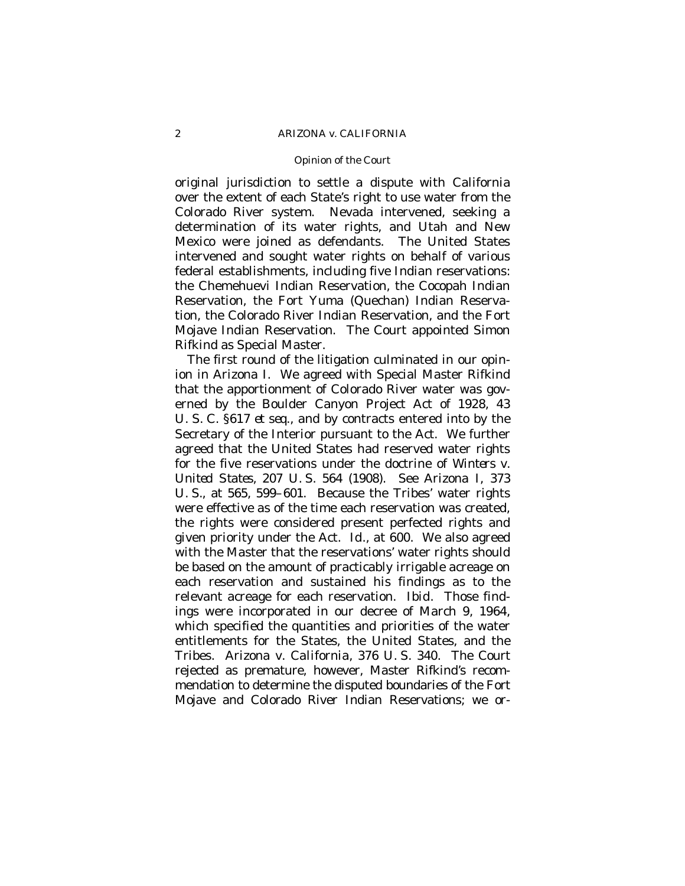#### Opinion of the Court

original jurisdiction to settle a dispute with California over the extent of each State's right to use water from the Colorado River system. Nevada intervened, seeking a determination of its water rights, and Utah and New Mexico were joined as defendants. The United States intervened and sought water rights on behalf of various federal establishments, including five Indian reservations: the Chemehuevi Indian Reservation, the Cocopah Indian Reservation, the Fort Yuma (Quechan) Indian Reservation, the Colorado River Indian Reservation, and the Fort Mojave Indian Reservation. The Court appointed Simon Rifkind as Special Master.

The first round of the litigation culminated in our opinion in *Arizona I*. We agreed with Special Master Rifkind that the apportionment of Colorado River water was governed by the Boulder Canyon Project Act of 1928, 43 U. S. C. §617 *et seq*., and by contracts entered into by the Secretary of the Interior pursuant to the Act. We further agreed that the United States had reserved water rights for the five reservations under the doctrine of *Winters* v. *United States,* 207 U. S. 564 (1908). See *Arizona I*, 373 U. S., at 565, 599–601. Because the Tribes' water rights were effective as of the time each reservation was created, the rights were considered present perfected rights and given priority under the Act. *Id.*, at 600. We also agreed with the Master that the reservations' water rights should be based on the amount of practicably irrigable acreage on each reservation and sustained his findings as to the relevant acreage for each reservation. *Ibid.* Those findings were incorporated in our decree of March 9, 1964, which specified the quantities and priorities of the water entitlements for the States, the United States, and the Tribes. *Arizona* v. *California*, 376 U. S. 340. The Court rejected as premature, however, Master Rifkind's recommendation to determine the disputed boundaries of the Fort Mojave and Colorado River Indian Reservations; we or-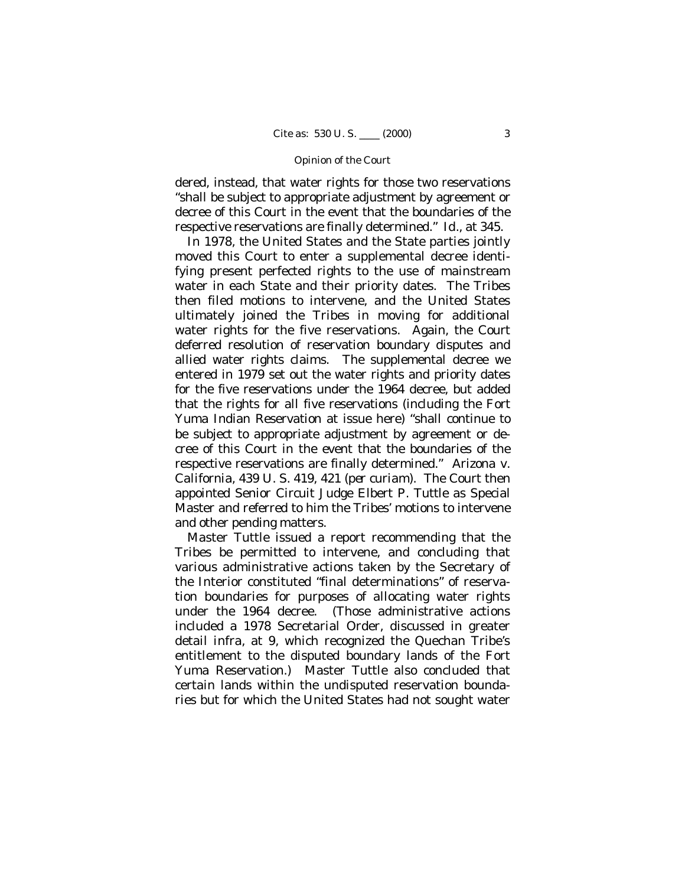dered, instead, that water rights for those two reservations "shall be subject to appropriate adjustment by agreement or decree of this Court in the event that the boundaries of the respective reservations are finally determined." *Id*., at 345.

In 1978, the United States and the State parties jointly moved this Court to enter a supplemental decree identifying present perfected rights to the use of mainstream water in each State and their priority dates. The Tribes then filed motions to intervene, and the United States ultimately joined the Tribes in moving for additional water rights for the five reservations. Again, the Court deferred resolution of reservation boundary disputes and allied water rights claims. The supplemental decree we entered in 1979 set out the water rights and priority dates for the five reservations under the 1964 decree, but added that the rights for all five reservations (including the Fort Yuma Indian Reservation at issue here) "shall continue to be subject to appropriate adjustment by agreement or decree of this Court in the event that the boundaries of the respective reservations are finally determined." *Arizona* v. *California*, 439 U. S. 419, 421 (*per curiam*). The Court then appointed Senior Circuit Judge Elbert P. Tuttle as Special Master and referred to him the Tribes' motions to intervene and other pending matters.

Master Tuttle issued a report recommending that the Tribes be permitted to intervene, and concluding that various administrative actions taken by the Secretary of the Interior constituted "final determinations" of reservation boundaries for purposes of allocating water rights under the 1964 decree. (Those administrative actions included a 1978 Secretarial Order, discussed in greater detail *infra*, at 9, which recognized the Quechan Tribe's entitlement to the disputed boundary lands of the Fort Yuma Reservation.) Master Tuttle also concluded that certain lands within the undisputed reservation boundaries but for which the United States had not sought water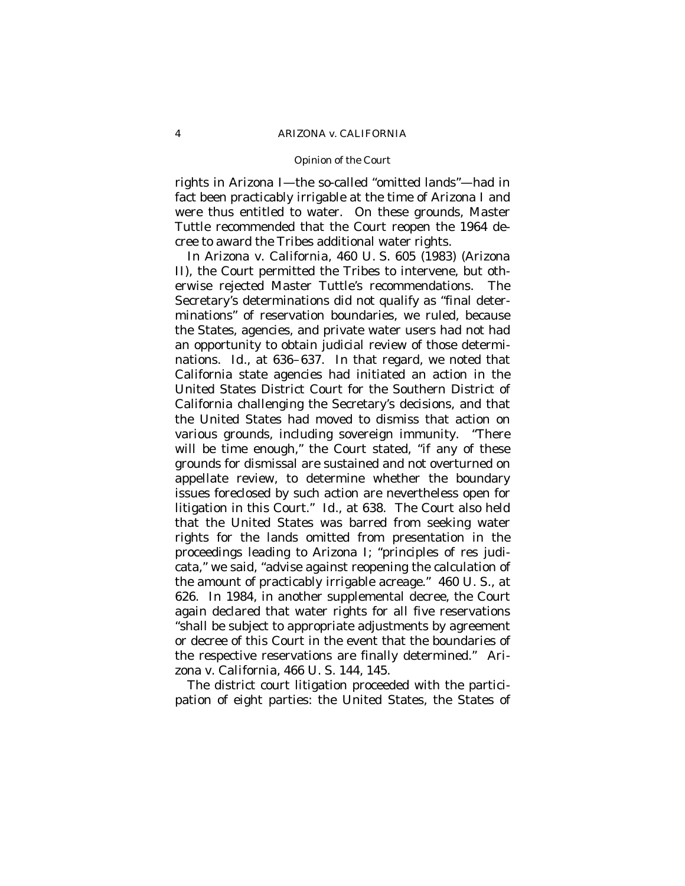rights in *Arizona I*— the so-called "omitted lands"— had in fact been practicably irrigable at the time of *Arizona I* and were thus entitled to water. On these grounds, Master Tuttle recommended that the Court reopen the 1964 decree to award the Tribes additional water rights.

In *Arizona* v. *California,* 460 U. S. 605 (1983) (*Arizona II)*, the Court permitted the Tribes to intervene, but otherwise rejected Master Tuttle's recommendations. The Secretary's determinations did not qualify as "final determinations" of reservation boundaries, we ruled, because the States, agencies, and private water users had not had an opportunity to obtain judicial review of those determinations. *Id.,* at 636–637. In that regard, we noted that California state agencies had initiated an action in the United States District Court for the Southern District of California challenging the Secretary's decisions, and that the United States had moved to dismiss that action on various grounds, including sovereign immunity. "There will be time enough," the Court stated, "if any of these grounds for dismissal are sustained and not overturned on appellate review, to determine whether the boundary issues foreclosed by such action are nevertheless open for litigation in this Court." *Id.*, at 638. The Court also held that the United States was barred from seeking water rights for the lands omitted from presentation in the proceedings leading to *Arizona I;* "principles of res judicata," we said, "advise against reopening the calculation of the amount of practicably irrigable acreage." 460 U. S.*,* at 626. In 1984, in another supplemental decree, the Court again declared that water rights for all five reservations "shall be subject to appropriate adjustments by agreement or decree of this Court in the event that the boundaries of the respective reservations are finally determined." *Arizona* v. *California*, 466 U. S. 144, 145.

The district court litigation proceeded with the participation of eight parties: the United States, the States of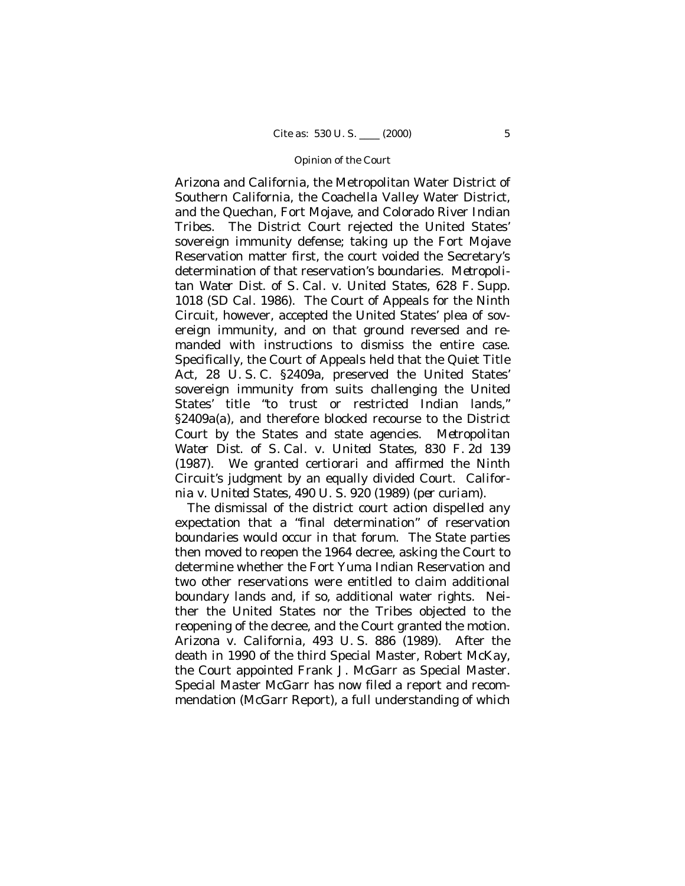Arizona and California, the Metropolitan Water District of Southern California, the Coachella Valley Water District, and the Quechan, Fort Mojave, and Colorado River Indian Tribes. The District Court rejected the United States' sovereign immunity defense; taking up the Fort Mojave Reservation matter first, the court voided the Secretary's determination of that reservation's boundaries. *Metropolitan Water Dist. of S. Cal.* v. *United States*, 628 F. Supp. 1018 (SD Cal. 1986). The Court of Appeals for the Ninth Circuit, however, accepted the United States' plea of sovereign immunity, and on that ground reversed and remanded with instructions to dismiss the entire case. Specifically, the Court of Appeals held that the Quiet Title Act, 28 U. S. C. §2409a, preserved the United States' sovereign immunity from suits challenging the United States' title "to trust or restricted Indian lands," §2409a(a), and therefore blocked recourse to the District Court by the States and state agencies. *Metropolitan Water Dist. of S. Cal.* v. *United States*, 830 F. 2d 139 (1987). We granted certiorari and affirmed the Ninth Circuit's judgment by an equally divided Court. *California* v. *United States*, 490 U. S. 920 (1989) (*per curiam*).

The dismissal of the district court action dispelled any expectation that a "final determination" of reservation boundaries would occur in that forum. The State parties then moved to reopen the 1964 decree, asking the Court to determine whether the Fort Yuma Indian Reservation and two other reservations were entitled to claim additional boundary lands and, if so, additional water rights. Neither the United States nor the Tribes objected to the reopening of the decree, and the Court granted the motion. *Arizona* v. *California*, 493 U. S. 886 (1989). After the death in 1990 of the third Special Master, Robert McKay, the Court appointed Frank J. McGarr as Special Master. Special Master McGarr has now filed a report and recommendation (McGarr Report), a full understanding of which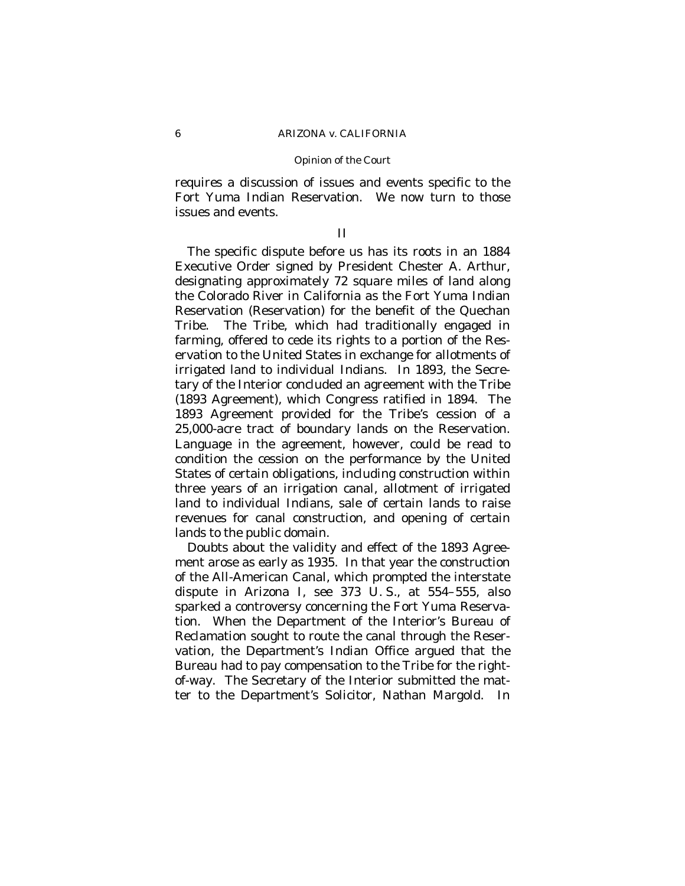requires a discussion of issues and events specific to the Fort Yuma Indian Reservation. We now turn to those issues and events.

# II

The specific dispute before us has its roots in an 1884 Executive Order signed by President Chester A. Arthur, designating approximately 72 square miles of land along the Colorado River in California as the Fort Yuma Indian Reservation (Reservation) for the benefit of the Quechan Tribe. The Tribe, which had traditionally engaged in farming, offered to cede its rights to a portion of the Reservation to the United States in exchange for allotments of irrigated land to individual Indians. In 1893, the Secretary of the Interior concluded an agreement with the Tribe (1893 Agreement), which Congress ratified in 1894. The 1893 Agreement provided for the Tribe's cession of a 25,000-acre tract of boundary lands on the Reservation. Language in the agreement, however, could be read to condition the cession on the performance by the United States of certain obligations, including construction within three years of an irrigation canal, allotment of irrigated land to individual Indians, sale of certain lands to raise revenues for canal construction, and opening of certain lands to the public domain.

Doubts about the validity and effect of the 1893 Agreement arose as early as 1935. In that year the construction of the All-American Canal, which prompted the interstate dispute in *Arizona I*, see 373 U. S., at 554–555, also sparked a controversy concerning the Fort Yuma Reservation. When the Department of the Interior's Bureau of Reclamation sought to route the canal through the Reservation, the Department's Indian Office argued that the Bureau had to pay compensation to the Tribe for the rightof-way. The Secretary of the Interior submitted the matter to the Department's Solicitor, Nathan Margold. In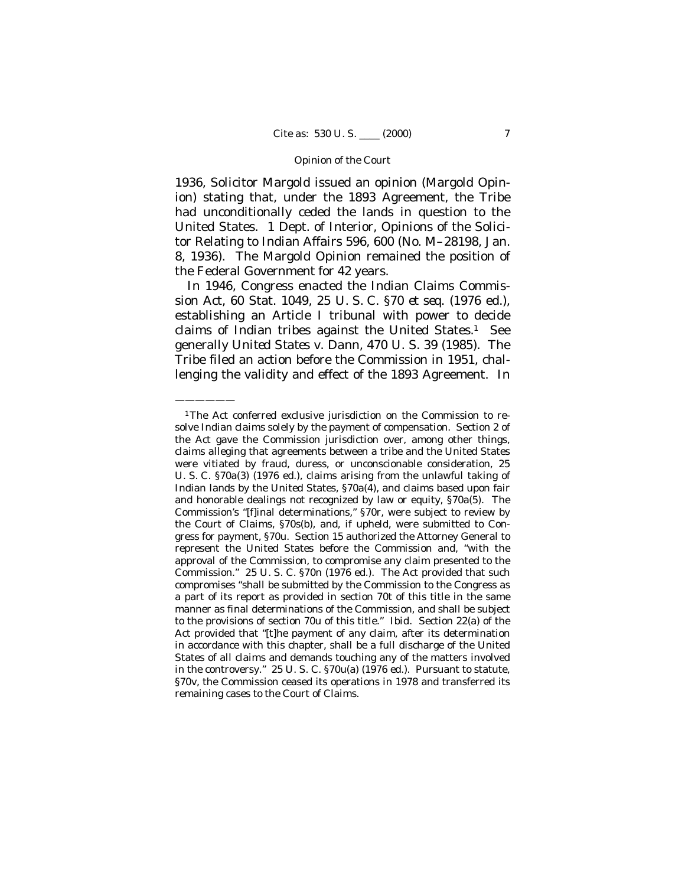1936, Solicitor Margold issued an opinion (Margold Opinion) stating that, under the 1893 Agreement, the Tribe had unconditionally ceded the lands in question to the United States. 1 Dept. of Interior, Opinions of the Solicitor Relating to Indian Affairs 596, 600 (No. M–28198, Jan. 8, 1936). The Margold Opinion remained the position of the Federal Government for 42 years.

In 1946, Congress enacted the Indian Claims Commission Act, 60 Stat. 1049, 25 U. S. C. §70 *et seq.* (1976 ed.), establishing an Article I tribunal with power to decide claims of Indian tribes against the United States.<sup>1</sup> See generally *United States* v. *Dann*, 470 U. S. 39 (1985). The Tribe filed an action before the Commission in 1951, challenging the validity and effect of the 1893 Agreement. In

——————

<sup>&</sup>lt;sup>1</sup>The Act conferred exclusive jurisdiction on the Commission to resolve Indian claims solely by the payment of compensation. Section 2 of the Act gave the Commission jurisdiction over, among other things, claims alleging that agreements between a tribe and the United States were vitiated by fraud, duress, or unconscionable consideration, 25 U. S. C. §70a(3) (1976 ed.), claims arising from the unlawful taking of Indian lands by the United States, §70a(4), and claims based upon fair and honorable dealings not recognized by law or equity, §70a(5). The Commission's "[f]inal determinations," §70r, were subject to review by the Court of Claims, §70s(b), and, if upheld, were submitted to Congress for payment, §70u. Section 15 authorized the Attorney General to represent the United States before the Commission and, "with the approval of the Commission, to compromise any claim presented to the Commission." 25 U. S. C. §70n (1976 ed.). The Act provided that such compromises "shall be submitted by the Commission to the Congress as a part of its report as provided in section 70t of this title in the same manner as final determinations of the Commission, and shall be subject to the provisions of section 70u of this title." *Ibid.* Section 22(a) of the Act provided that "[t]he payment of any claim, after its determination in accordance with this chapter, shall be a full discharge of the United States of all claims and demands touching any of the matters involved in the controversy." 25 U. S. C. §70u(a) (1976 ed.). Pursuant to statute, §70v, the Commission ceased its operations in 1978 and transferred its remaining cases to the Court of Claims.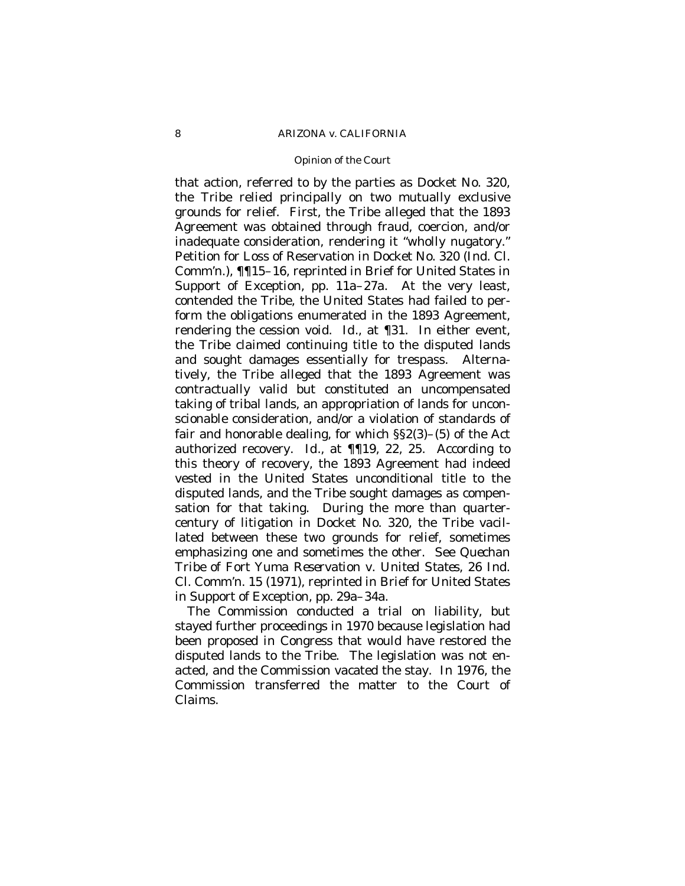#### Opinion of the Court

that action, referred to by the parties as Docket No. 320, the Tribe relied principally on two mutually exclusive grounds for relief. First, the Tribe alleged that the 1893 Agreement was obtained through fraud, coercion, and/or inadequate consideration, rendering it "wholly nugatory." Petition for Loss of Reservation in Docket No. 320 (Ind. Cl. Comm'n.), ¶¶15–16, reprinted in Brief for United States in Support of Exception, pp. 11a–27a. At the very least, contended the Tribe, the United States had failed to perform the obligations enumerated in the 1893 Agreement, rendering the cession void. *Id.,* at ¶31. In either event, the Tribe claimed continuing title to the disputed lands and sought damages essentially for trespass. Alternatively, the Tribe alleged that the 1893 Agreement was contractually valid but constituted an uncompensated taking of tribal lands, an appropriation of lands for unconscionable consideration, and/or a violation of standards of fair and honorable dealing, for which §§2(3)–(5) of the Act authorized recovery. *Id.,* at ¶¶19, 22, 25. According to this theory of recovery, the 1893 Agreement had indeed vested in the United States unconditional title to the disputed lands, and the Tribe sought damages as compensation for that taking. During the more than quartercentury of litigation in Docket No. 320, the Tribe vacillated between these two grounds for relief, sometimes emphasizing one and sometimes the other. See *Quechan Tribe of Fort Yuma Reservation* v. *United States*, 26 Ind. Cl. Comm'n. 15 (1971), reprinted in Brief for United States in Support of Exception, pp. 29a–34a.

The Commission conducted a trial on liability, but stayed further proceedings in 1970 because legislation had been proposed in Congress that would have restored the disputed lands to the Tribe. The legislation was not enacted, and the Commission vacated the stay. In 1976, the Commission transferred the matter to the Court of Claims.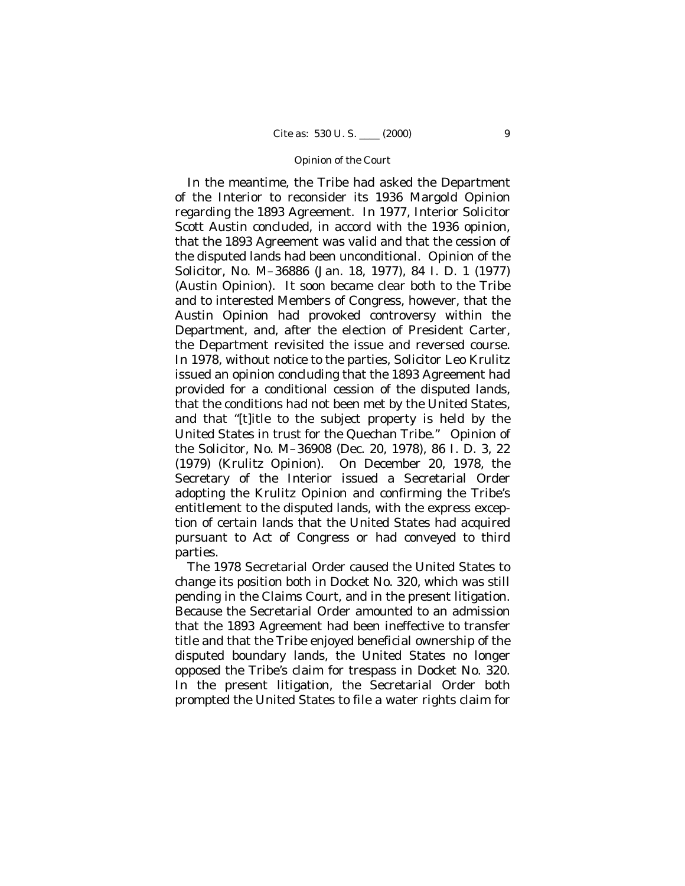In the meantime, the Tribe had asked the Department of the Interior to reconsider its 1936 Margold Opinion regarding the 1893 Agreement. In 1977, Interior Solicitor Scott Austin concluded, in accord with the 1936 opinion, that the 1893 Agreement was valid and that the cession of the disputed lands had been unconditional. Opinion of the Solicitor, No. M–36886 (Jan. 18, 1977), 84 I. D. 1 (1977) (Austin Opinion). It soon became clear both to the Tribe and to interested Members of Congress, however, that the Austin Opinion had provoked controversy within the Department, and, after the election of President Carter, the Department revisited the issue and reversed course. In 1978, without notice to the parties, Solicitor Leo Krulitz issued an opinion concluding that the 1893 Agreement had provided for a conditional cession of the disputed lands, that the conditions had not been met by the United States, and that "[t]itle to the subject property is held by the United States in trust for the Quechan Tribe." Opinion of the Solicitor, No. M–36908 (Dec. 20, 1978), 86 I. D. 3, 22 (1979) (Krulitz Opinion). On December 20, 1978, the Secretary of the Interior issued a Secretarial Order adopting the Krulitz Opinion and confirming the Tribe's entitlement to the disputed lands, with the express exception of certain lands that the United States had acquired pursuant to Act of Congress or had conveyed to third parties.

The 1978 Secretarial Order caused the United States to change its position both in Docket No. 320, which was still pending in the Claims Court, and in the present litigation. Because the Secretarial Order amounted to an admission that the 1893 Agreement had been ineffective to transfer title and that the Tribe enjoyed beneficial ownership of the disputed boundary lands, the United States no longer opposed the Tribe's claim for trespass in Docket No. 320. In the present litigation, the Secretarial Order both prompted the United States to file a water rights claim for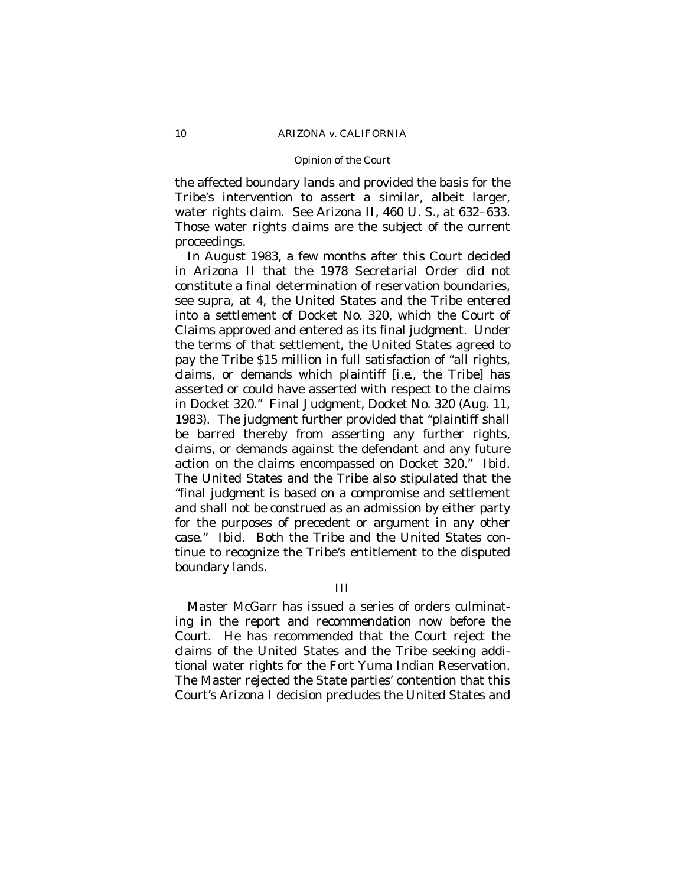#### Opinion of the Court

the affected boundary lands and provided the basis for the Tribe's intervention to assert a similar, albeit larger, water rights claim. See *Arizona II*, 460 U. S., at 632–633. Those water rights claims are the subject of the current proceedings.

In August 1983, a few months after this Court decided in *Arizona II* that the 1978 Secretarial Order did not constitute a final determination of reservation boundaries, see *supra*, at 4, the United States and the Tribe entered into a settlement of Docket No. 320, which the Court of Claims approved and entered as its final judgment. Under the terms of that settlement, the United States agreed to pay the Tribe \$15 million in full satisfaction of "all rights, claims, or demands which plaintiff [*i.e.*, the Tribe] has asserted or could have asserted with respect to the claims in Docket 320." Final Judgment, Docket No. 320 (Aug. 11, 1983). The judgment further provided that "plaintiff shall be barred thereby from asserting any further rights, claims, or demands against the defendant and any future action on the claims encompassed on Docket 320." *Ibid.* The United States and the Tribe also stipulated that the "final judgment is based on a compromise and settlement and shall not be construed as an admission by either party for the purposes of precedent or argument in any other case." *Ibid.* Both the Tribe and the United States continue to recognize the Tribe's entitlement to the disputed boundary lands.

## III

Master McGarr has issued a series of orders culminating in the report and recommendation now before the Court. He has recommended that the Court reject the claims of the United States and the Tribe seeking additional water rights for the Fort Yuma Indian Reservation. The Master rejected the State parties' contention that this Court's *Arizona I* decision precludes the United States and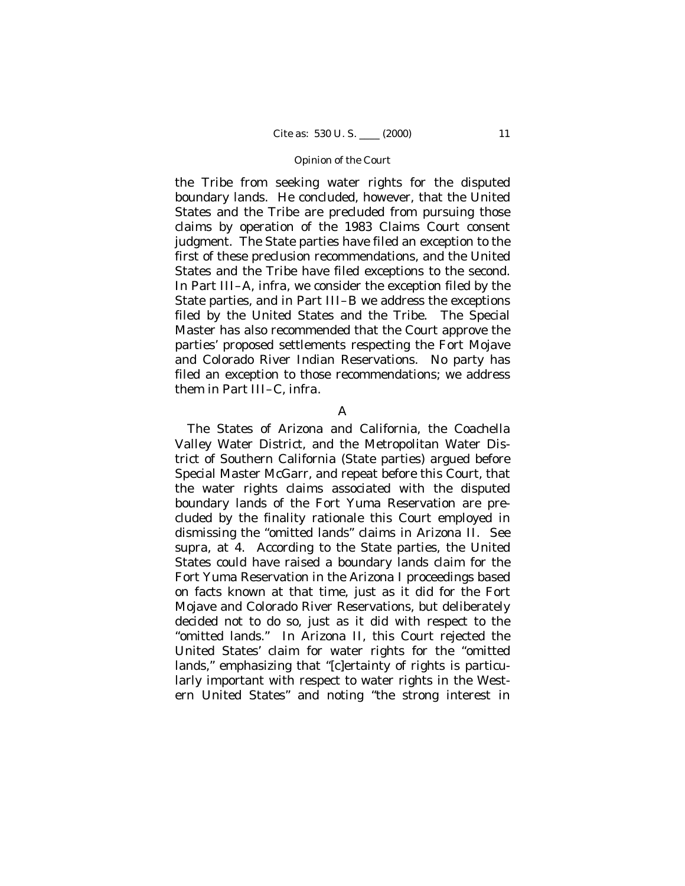the Tribe from seeking water rights for the disputed boundary lands. He concluded, however, that the United States and the Tribe are precluded from pursuing those claims by operation of the 1983 Claims Court consent judgment. The State parties have filed an exception to the first of these preclusion recommendations, and the United States and the Tribe have filed exceptions to the second. In Part III–A, *infra*, we consider the exception filed by the State parties, and in Part III–B we address the exceptions filed by the United States and the Tribe. The Special Master has also recommended that the Court approve the parties' proposed settlements respecting the Fort Mojave and Colorado River Indian Reservations. No party has filed an exception to those recommendations; we address them in Part III–C, *infra*.

## A

The States of Arizona and California, the Coachella Valley Water District, and the Metropolitan Water District of Southern California (State parties) argued before Special Master McGarr, and repeat before this Court, that the water rights claims associated with the disputed boundary lands of the Fort Yuma Reservation are precluded by the finality rationale this Court employed in dismissing the "omitted lands" claims in *Arizona II*. See *supra*, at 4. According to the State parties, the United States could have raised a boundary lands claim for the Fort Yuma Reservation in the *Arizona I* proceedings based on facts known at that time, just as it did for the Fort Mojave and Colorado River Reservations, but deliberately decided not to do so, just as it did with respect to the "omitted lands." In *Arizona II*, this Court rejected the United States' claim for water rights for the "omitted lands," emphasizing that "[c]ertainty of rights is particularly important with respect to water rights in the Western United States" and noting "the strong interest in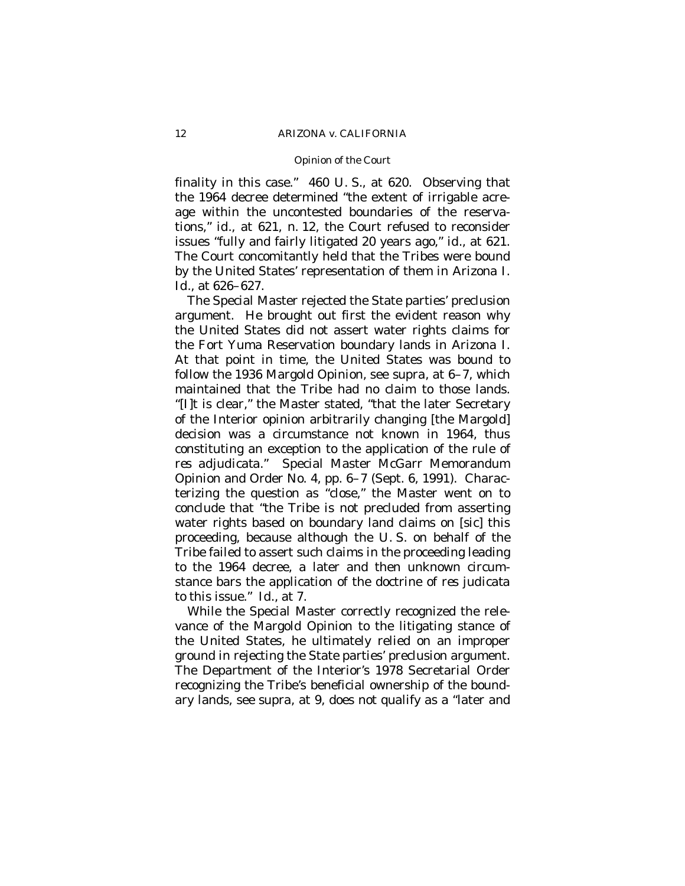finality in this case." 460 U. S., at 620. Observing that the 1964 decree determined "the extent of irrigable acreage within the uncontested boundaries of the reservations," *id.,* at 621, n. 12, the Court refused to reconsider issues "fully and fairly litigated 20 years ago," *id.,* at 621. The Court concomitantly held that the Tribes were bound by the United States' representation of them in *Arizona I*. *Id.,* at 626–627.

The Special Master rejected the State parties' preclusion argument. He brought out first the evident reason why the United States did not assert water rights claims for the Fort Yuma Reservation boundary lands in *Arizona I*. At that point in time, the United States was bound to follow the 1936 Margold Opinion, see *supra*, at 6–7, which maintained that the Tribe had no claim to those lands. "[I]t is clear," the Master stated, "that the later Secretary of the Interior opinion arbitrarily changing [the Margold] decision was a circumstance not known in 1964, thus constituting an exception to the application of the rule of *res adjudicata*." Special Master McGarr Memorandum Opinion and Order No. 4, pp. 6–7 (Sept. 6, 1991). Characterizing the question as "close," the Master went on to conclude that "the Tribe is not precluded from asserting water rights based on boundary land claims on [*sic*] this proceeding, because although the U. S. on behalf of the Tribe failed to assert such claims in the proceeding leading to the 1964 decree, a later and then unknown circumstance bars the application of the doctrine of *res judicata* to this issue." *Id.,* at 7.

While the Special Master correctly recognized the relevance of the Margold Opinion to the litigating stance of the United States, he ultimately relied on an improper ground in rejecting the State parties' preclusion argument. The Department of the Interior's 1978 Secretarial Order recognizing the Tribe's beneficial ownership of the boundary lands, see *supra*, at 9, does not qualify as a "later and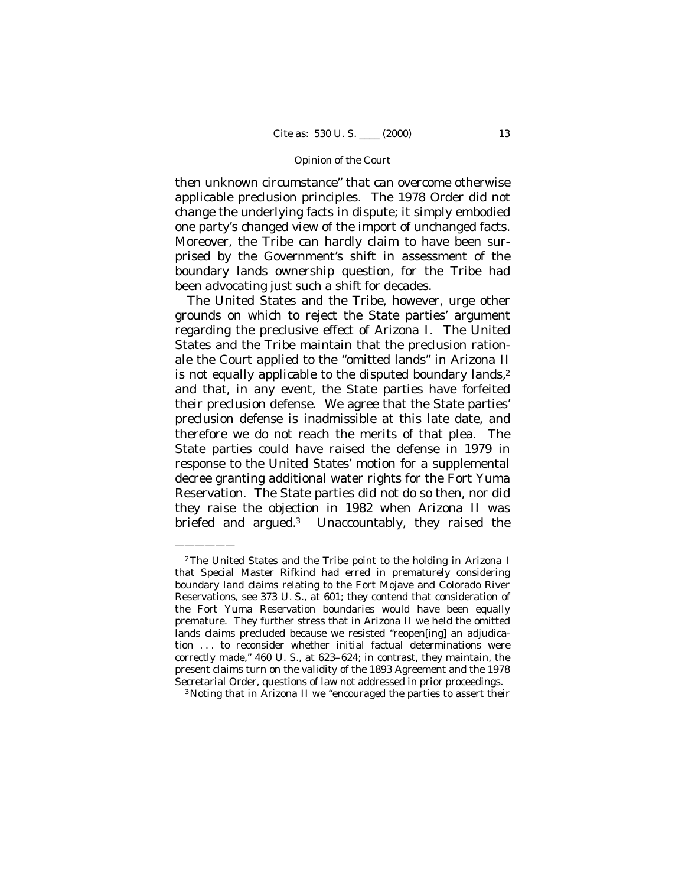then unknown circumstance" that can overcome otherwise applicable preclusion principles. The 1978 Order did not change the underlying facts in dispute; it simply embodied one party's changed view of the import of unchanged facts. Moreover, the Tribe can hardly claim to have been surprised by the Government's shift in assessment of the boundary lands ownership question, for the Tribe had been advocating just such a shift for decades.

The United States and the Tribe, however, urge other grounds on which to reject the State parties' argument regarding the preclusive effect of *Arizona I*. The United States and the Tribe maintain that the preclusion rationale the Court applied to the "omitted lands" in *Arizona II* is not equally applicable to the disputed boundary lands,<sup>2</sup> and that, in any event, the State parties have forfeited their preclusion defense. We agree that the State parties' preclusion defense is inadmissible at this late date, and therefore we do not reach the merits of that plea. The State parties could have raised the defense in 1979 in response to the United States' motion for a supplemental decree granting additional water rights for the Fort Yuma Reservation. The State parties did not do so then, nor did they raise the objection in 1982 when *Arizona II* was briefed and argued.<sup>3</sup> Unaccountably, they raised the

——————

<sup>2</sup>The United States and the Tribe point to the holding in *Arizona I* that Special Master Rifkind had erred in prematurely considering boundary land claims relating to the Fort Mojave and Colorado River Reservations, see 373 U. S., at 601; they contend that consideration of the Fort Yuma Reservation boundaries would have been equally premature. They further stress that in *Arizona II* we held the omitted lands claims precluded because we resisted "reopen[ing] an adjudication . . . to reconsider whether initial factual determinations were correctly made," 460 U. S., at 623–624; in contrast, they maintain, the present claims turn on the validity of the 1893 Agreement and the 1978 Secretarial Order, questions of law not addressed in prior proceedings.

<sup>3</sup>Noting that in *Arizona II* we "encouraged the parties to assert their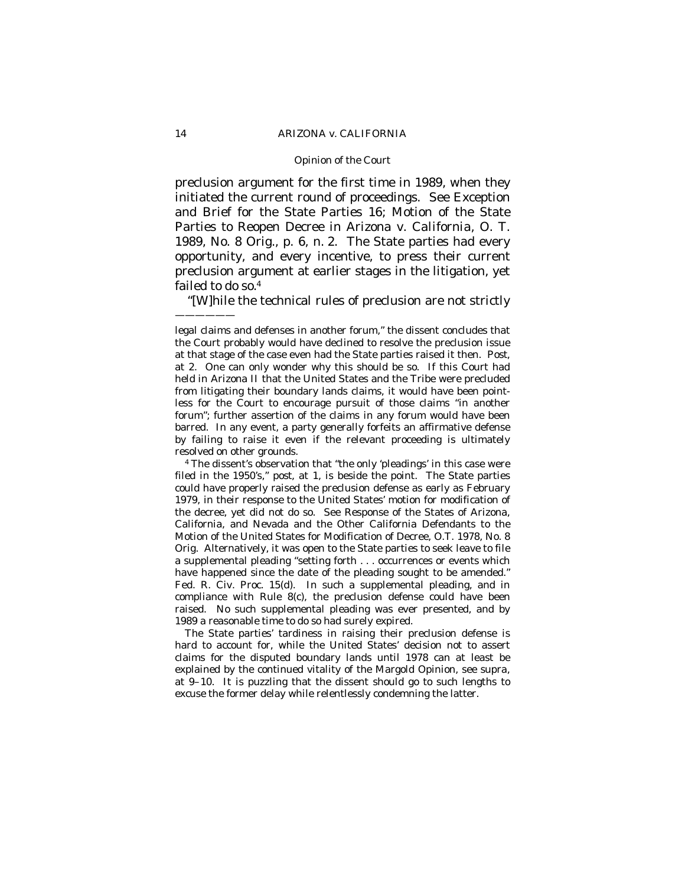preclusion argument for the first time in 1989, when they initiated the current round of proceedings. See Exception and Brief for the State Parties 16; Motion of the State Parties to Reopen Decree in *Arizona* v. *California*, O. T. 1989, No. 8 Orig., p. 6, n. 2. The State parties had every opportunity, and every incentive, to press their current preclusion argument at earlier stages in the litigation, yet failed to do so.<sup>4</sup>

"[W]hile the technical rules of preclusion are not strictly ——————

legal claims and defenses in another forum," the dissent concludes that the Court probably would have declined to resolve the preclusion issue at that stage of the case even had the State parties raised it then. *Post*, at 2. One can only wonder why this should be so. If this Court had held in *Arizona II* that the United States and the Tribe were precluded from litigating their boundary lands claims, it would have been pointless for the Court to encourage pursuit of those claims "in another forum"; further assertion of the claims in any forum would have been barred. In any event, a party generally forfeits an affirmative defense by failing to raise it even if the relevant proceeding is ultimately resolved on other grounds.

<sup>4</sup> The dissent's observation that "the only 'pleadings' in this case were filed in the 1950's," *post*, at 1, is beside the point. The State parties could have properly raised the preclusion defense as early as February 1979, in their response to the United States' motion for modification of the decree, yet did not do so. See Response of the States of Arizona, California, and Nevada and the Other California Defendants to the Motion of the United States for Modification of Decree, O.T. 1978, No. 8 Orig. Alternatively, it was open to the State parties to seek leave to file a supplemental pleading "setting forth . . . occurrences or events which have happened since the date of the pleading sought to be amended." Fed. R. Civ. Proc. 15(d). In such a supplemental pleading, and in compliance with Rule 8(c), the preclusion defense could have been raised. No such supplemental pleading was ever presented, and by 1989 a reasonable time to do so had surely expired.

The State parties' tardiness in raising their preclusion defense is hard to account for, while the United States' decision not to assert claims for the disputed boundary lands until 1978 can at least be explained by the continued vitality of the Margold Opinion, see *supra*, at 9–10. It is puzzling that the dissent should go to such lengths to excuse the former delay while relentlessly condemning the latter.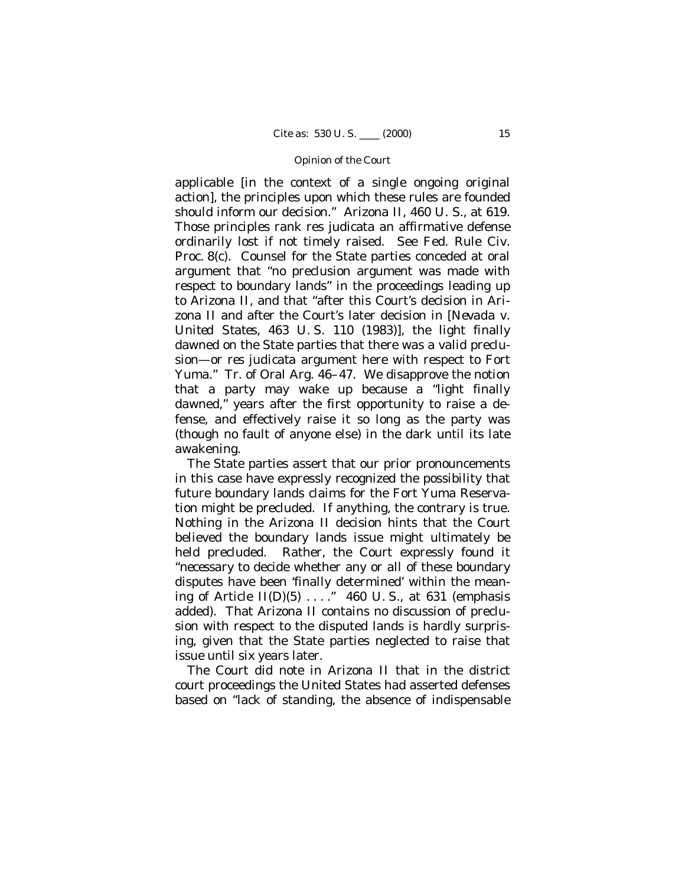applicable [in the context of a single ongoing original action], the principles upon which these rules are founded should inform our decision." *Arizona II*, 460 U. S., at 619. Those principles rank res judicata an affirmative defense ordinarily lost if not timely raised. See Fed. Rule Civ. Proc. 8(c). Counsel for the State parties conceded at oral argument that "no preclusion argument was made with respect to boundary lands" in the proceedings leading up to *Arizona II*, and that "after this Court's decision in *Arizona II* and after the Court's later decision in [*Nevada* v. *United States*, 463 U. S. 110 (1983)], the light finally dawned on the State parties that there was a valid preclusion— or *res judicata* argument here with respect to Fort Yuma." Tr. of Oral Arg. 46–47. We disapprove the notion that a party may wake up because a "light finally dawned," years after the first opportunity to raise a defense, and effectively raise it so long as the party was (though no fault of anyone else) in the dark until its late awakening.

The State parties assert that our prior pronouncements in this case have expressly recognized the possibility that future boundary lands claims for the Fort Yuma Reservation might be precluded. If anything, the contrary is true. Nothing in the *Arizona II* decision hints that the Court believed the boundary lands issue might ultimately be held precluded. Rather, the Court expressly found it "*necessary* to decide whether any or all of these boundary disputes have been 'finally determined' within the meaning of Article II(D)(5)  $\dots$  ." 460 U.S., at 631 (emphasis added). That *Arizona II* contains no discussion of preclusion with respect to the disputed lands is hardly surprising, given that the State parties neglected to raise that issue until six years later.

The Court did note in *Arizona II* that in the district court proceedings the United States had asserted defenses based on "lack of standing, the absence of indispensable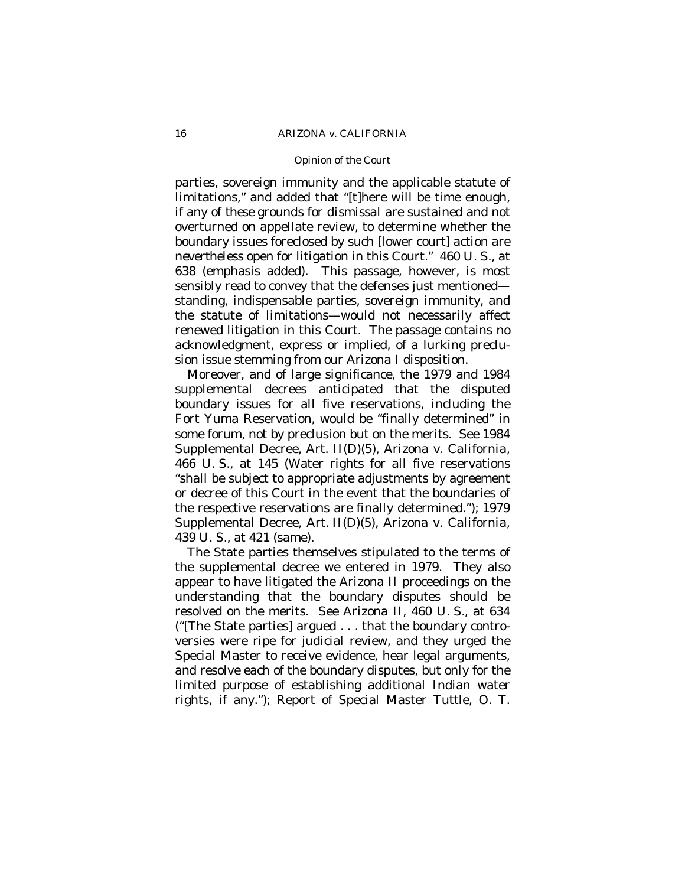#### Opinion of the Court

parties, sovereign immunity and the applicable statute of limitations," and added that "[t]here will be time enough, if any of *these grounds for dismissal* are sustained and not overturned on appellate review, to determine whether the boundary issues foreclosed by such [lower court] action are *nevertheless* open for litigation in this Court." 460 U. S., at 638 (emphasis added). This passage, however, is most sensibly read to convey that the defenses just mentioned standing, indispensable parties, sovereign immunity, and the statute of limitations— would not necessarily affect renewed litigation in this Court. The passage contains no acknowledgment, express or implied, of a lurking preclusion issue stemming from our *Arizona I* disposition.

Moreover, and of large significance, the 1979 and 1984 supplemental decrees anticipated that the disputed boundary issues for all five reservations, including the Fort Yuma Reservation, would be "finally determined" in some forum, not by preclusion but on the merits. See 1984 Supplemental Decree, Art. II(D)(5), *Arizona* v. *California*, 466 U. S., at 145 (Water rights for all five reservations "shall be subject to appropriate adjustments by agreement or decree of this Court in the event that the boundaries of the respective reservations are finally determined."); 1979 Supplemental Decree, Art. II(D)(5), *Arizona* v. *California*, 439 U. S., at 421 (same).

The State parties themselves stipulated to the terms of the supplemental decree we entered in 1979. They also appear to have litigated the *Arizona II* proceedings on the understanding that the boundary disputes should be resolved on the merits. See *Arizona II*, 460 U. S., at 634 ("[The State parties] argued . . . that the boundary controversies were ripe for judicial review, and they urged the Special Master to receive evidence, hear legal arguments, and resolve each of the boundary disputes, but only for the limited purpose of establishing additional Indian water rights, if any."); Report of Special Master Tuttle, O. T.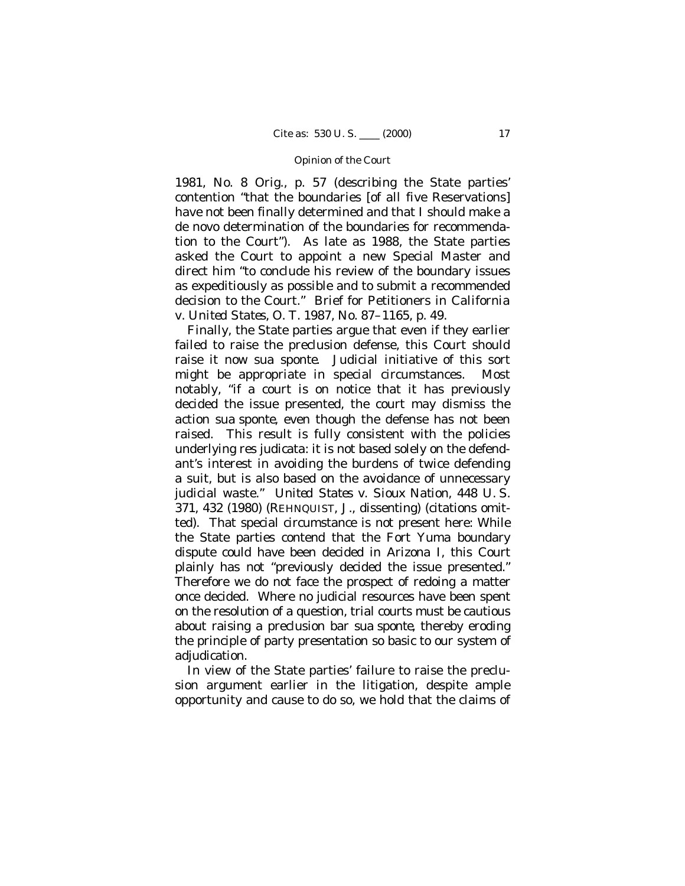1981, No. 8 Orig., p. 57 (describing the State parties' contention "that the boundaries [of all five Reservations] have not been finally determined and that I should make a de novo determination of the boundaries for recommendation to the Court"). As late as 1988, the State parties asked the Court to appoint a new Special Master and direct him "to conclude his review of the boundary issues as expeditiously as possible and to submit a recommended decision to the Court." Brief for Petitioners in *California* v. *United States*, O. T. 1987, No. 87–1165, p. 49.

Finally, the State parties argue that even if they earlier failed to raise the preclusion defense, this Court should raise it now *sua sponte*. Judicial initiative of this sort might be appropriate in special circumstances. Most notably, "if a court is on notice that it has previously decided the issue presented, the court may dismiss the action *sua sponte*, even though the defense has not been raised. This result is fully consistent with the policies underlying res judicata: it is not based solely on the defendant's interest in avoiding the burdens of twice defending a suit, but is also based on the avoidance of unnecessary judicial waste." *United States* v. *Sioux Nation,* 448 U. S. 371, 432 (1980) (REHNQUIST, J., dissenting) (citations omitted). That special circumstance is not present here: While the State parties contend that the Fort Yuma boundary dispute could have been decided in *Arizona I*, this Court plainly has not "previously decided the issue presented." Therefore we do not face the prospect of redoing a matter once decided. Where no judicial resources have been spent on the resolution of a question, trial courts must be cautious about raising a preclusion bar *sua sponte*, thereby eroding the principle of party presentation so basic to our system of adiudication.

In view of the State parties' failure to raise the preclusion argument earlier in the litigation, despite ample opportunity and cause to do so, we hold that the claims of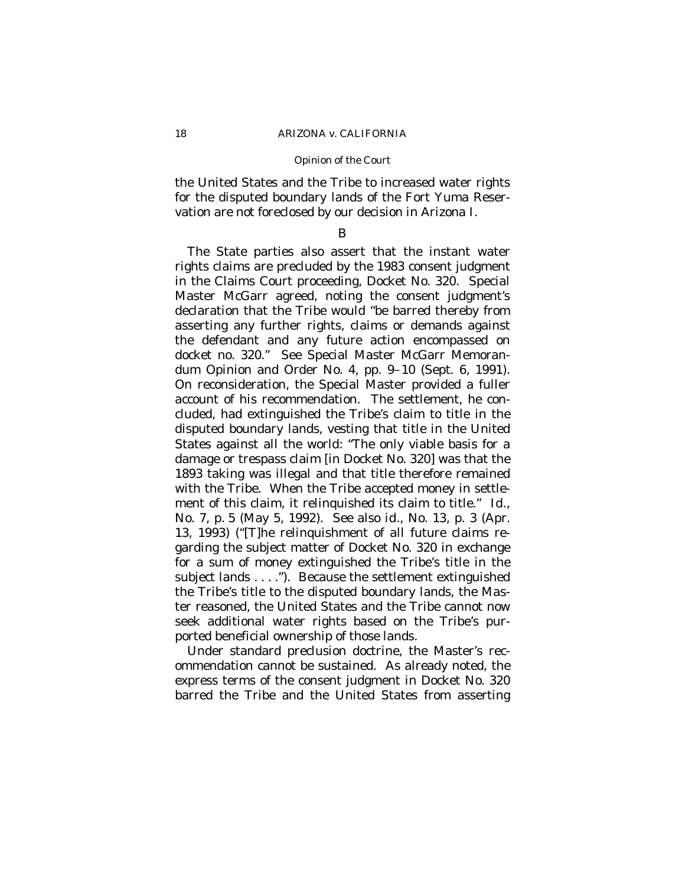the United States and the Tribe to increased water rights for the disputed boundary lands of the Fort Yuma Reservation are not foreclosed by our decision in *Arizona I*.

B

The State parties also assert that the instant water rights claims are precluded by the 1983 consent judgment in the Claims Court proceeding, Docket No. 320. Special Master McGarr agreed, noting the consent judgment's declaration that the Tribe would "be barred thereby from asserting any further rights, claims or demands against the defendant and any future action encompassed on docket no. 320." See Special Master McGarr Memorandum Opinion and Order No. 4, pp. 9–10 (Sept. 6, 1991). On reconsideration, the Special Master provided a fuller account of his recommendation. The settlement, he concluded, had extinguished the Tribe's claim to title in the disputed boundary lands, vesting that title in the United States against all the world: "The only viable basis for a damage or trespass claim [in Docket No. 320] was that the 1893 taking was illegal and that title therefore remained with the Tribe. When the Tribe accepted money in settlement of this claim, it relinquished its claim to title." *Id.*, No. 7, p. 5 (May 5, 1992). See also *id*., No. 13, p. 3 (Apr. 13, 1993) ("[T]he relinquishment of all future claims regarding the subject matter of Docket No. 320 in exchange for a sum of money extinguished the Tribe's title in the subject lands . . . ."). Because the settlement extinguished the Tribe's title to the disputed boundary lands, the Master reasoned, the United States and the Tribe cannot now seek additional water rights based on the Tribe's purported beneficial ownership of those lands.

Under standard preclusion doctrine, the Master's recommendation cannot be sustained. As already noted, the express terms of the consent judgment in Docket No. 320 barred the Tribe and the United States from asserting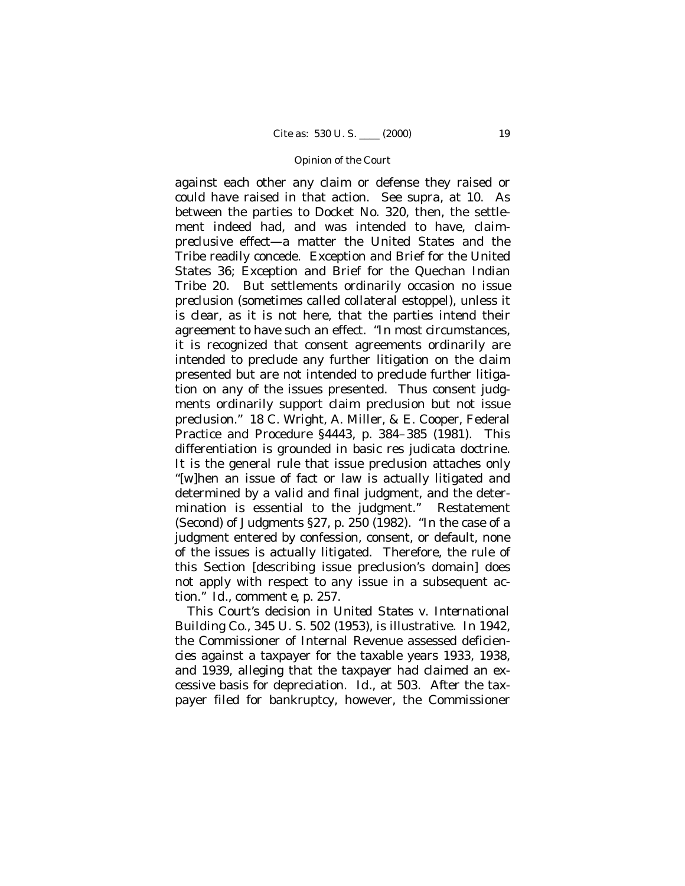against each other any claim or defense they raised or could have raised in that action. See *supra*, at 10. As between the parties to Docket No. 320, then, the settlement indeed had, and was intended to have, *claimpreclusive* effect— a matter the United States and the Tribe readily concede. Exception and Brief for the United States 36; Exception and Brief for the Quechan Indian Tribe 20. But settlements ordinarily occasion no *issue preclusion* (sometimes called collateral estoppel), unless it is clear, as it is not here, that the parties intend their agreement to have such an effect. "In most circumstances, it is recognized that consent agreements ordinarily are intended to preclude any further litigation on the claim presented but are not intended to preclude further litigation on any of the issues presented. Thus consent judgments ordinarily support claim preclusion but not issue preclusion." 18 C. Wright, A. Miller, & E. Cooper, Federal Practice and Procedure §4443, p. 384–385 (1981). This differentiation is grounded in basic res judicata doctrine. It is the general rule that issue preclusion attaches only "[w]hen an issue of fact or law is actually litigated and determined by a valid and final judgment, and the determination is essential to the judgment." Restatement (Second) of Judgments §27, p. 250 (1982). "In the case of a judgment entered by confession, consent, or default, none of the issues is actually litigated. Therefore, the rule of this Section [describing issue preclusion's domain] does not apply with respect to any issue in a subsequent action." *Id.,* comment *e*, p. 257.

This Court's decision in *United States* v. *International Building Co.,* 345 U. S. 502 (1953), is illustrative. In 1942, the Commissioner of Internal Revenue assessed deficiencies against a taxpayer for the taxable years 1933, 1938, and 1939, alleging that the taxpayer had claimed an excessive basis for depreciation. *Id.,* at 503. After the taxpayer filed for bankruptcy, however, the Commissioner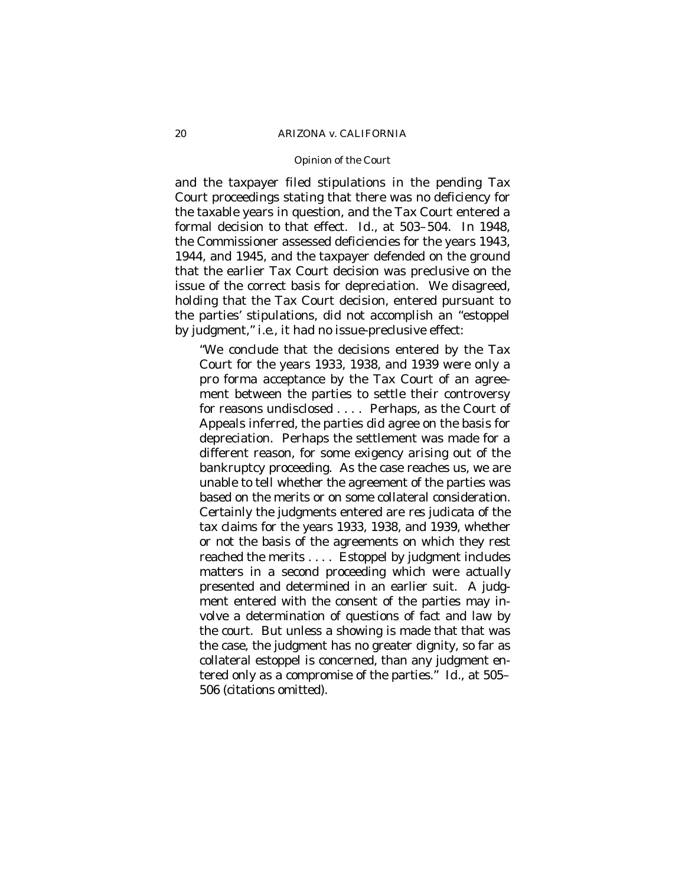#### Opinion of the Court

and the taxpayer filed stipulations in the pending Tax Court proceedings stating that there was no deficiency for the taxable years in question, and the Tax Court entered a formal decision to that effect. *Id.,* at 503–504. In 1948, the Commissioner assessed deficiencies for the years 1943, 1944, and 1945, and the taxpayer defended on the ground that the earlier Tax Court decision was preclusive on the issue of the correct basis for depreciation. We disagreed, holding that the Tax Court decision, entered pursuant to the parties' stipulations, did not accomplish an "estoppel by judgment," *i.e.*, it had no issue-preclusive effect:

"We conclude that the decisions entered by the Tax Court for the years 1933, 1938, and 1939 were only a *pro forma* acceptance by the Tax Court of an agreement between the parties to settle their controversy for reasons undisclosed . . . . Perhaps, as the Court of Appeals inferred, the parties did agree on the basis for depreciation. Perhaps the settlement was made for a different reason, for some exigency arising out of the bankruptcy proceeding. As the case reaches us, we are unable to tell whether the agreement of the parties was based on the merits or on some collateral consideration. Certainly the judgments entered are *res judicata* of the tax claims for the years 1933, 1938, and 1939, whether or not the basis of the agreements on which they rest reached the merits . . . . Estoppel by judgment includes matters in a second proceeding which were actually presented and determined in an earlier suit. A judgment entered with the consent of the parties may involve a determination of questions of fact and law by the court. But unless a showing is made that that was the case, the judgment has no greater dignity, so far as collateral estoppel is concerned, than any judgment entered only as a compromise of the parties." *Id.,* at 505– 506 (citations omitted).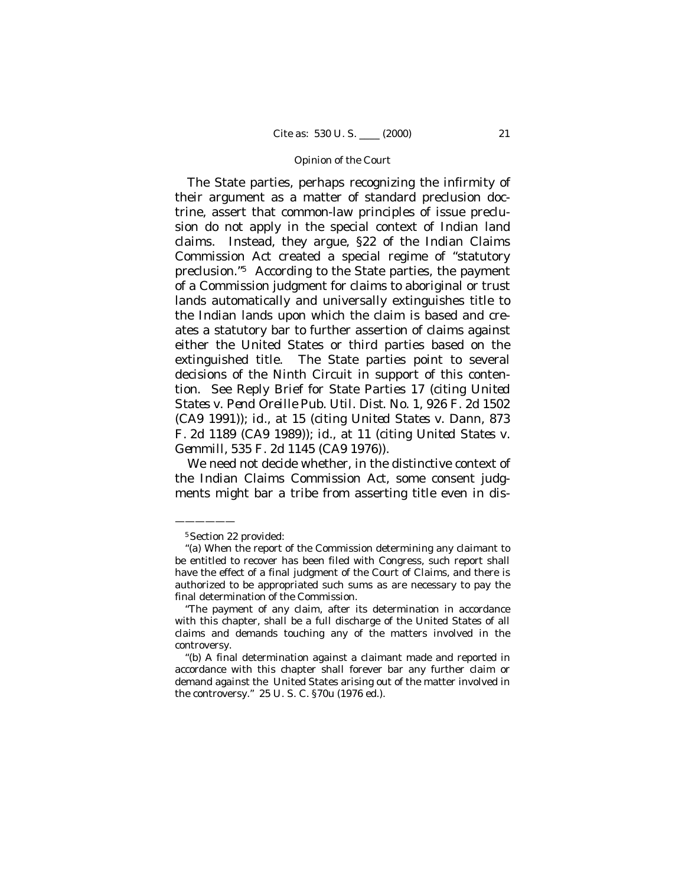The State parties, perhaps recognizing the infirmity of their argument as a matter of standard preclusion doctrine, assert that common-law principles of issue preclusion do not apply in the special context of Indian land claims. Instead, they argue, §22 of the Indian Claims Commission Act created a special regime of "statutory preclusion."<sup>5</sup> According to the State parties, the payment of a Commission judgment for claims to aboriginal or trust lands automatically and universally extinguishes title to the Indian lands upon which the claim is based and creates a statutory bar to further assertion of claims against either the United States or third parties based on the extinguished title. The State parties point to several decisions of the Ninth Circuit in support of this contention. See Reply Brief for State Parties 17 (citing *United States* v. *Pend Oreille Pub. Util. Dist. No. 1*, 926 F. 2d 1502 (CA9 1991)); *id.,* at 15 (citing *United States* v. *Dann*, 873 F. 2d 1189 (CA9 1989)); *id.,* at 11 (citing *United States* v. *Gemmill*, 535 F. 2d 1145 (CA9 1976)).

We need not decide whether, in the distinctive context of the Indian Claims Commission Act, some consent judgments might bar a tribe from asserting title even in dis-

#### ——————

<sup>5</sup>Section 22 provided:

"(a) When the report of the Commission determining any claimant to be entitled to recover has been filed with Congress, such report shall have the effect of a final judgment of the Court of Claims, and there is authorized to be appropriated such sums as are necessary to pay the final determination of the Commission.

"The payment of any claim, after its determination in accordance with this chapter, shall be a full discharge of the United States of all claims and demands touching any of the matters involved in the controversy.

"(b) A final determination against a claimant made and reported in accordance with this chapter shall forever bar any further claim or demand against the United States arising out of the matter involved in the controversy." 25 U. S. C. §70u (1976 ed.).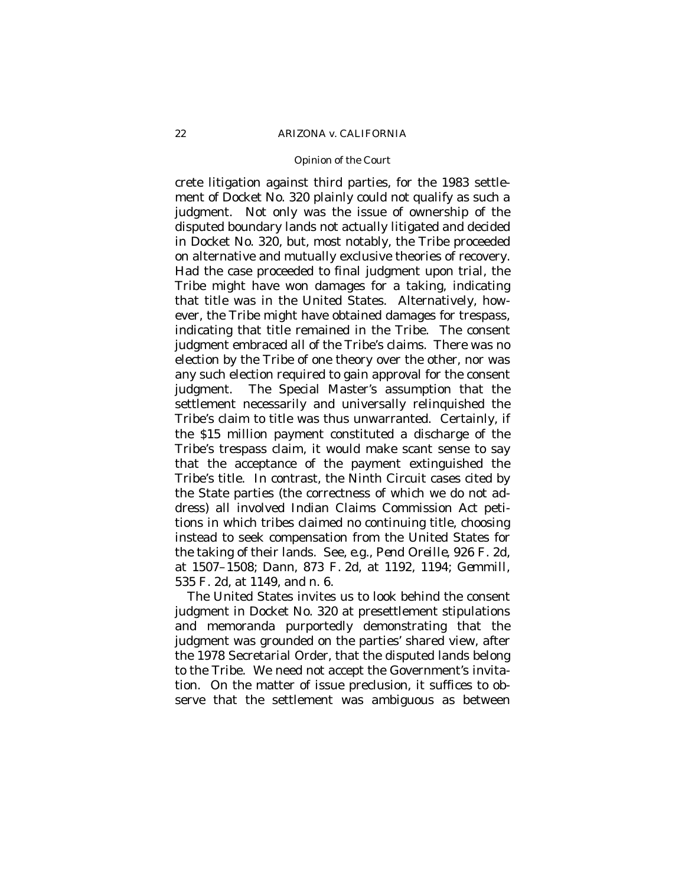#### Opinion of the Court

crete litigation against third parties, for the 1983 settlement of Docket No. 320 plainly could not qualify as such a judgment. Not only was the issue of ownership of the disputed boundary lands not actually litigated and decided in Docket No. 320, but, most notably, the Tribe proceeded on alternative and mutually exclusive theories of recovery. Had the case proceeded to final judgment upon trial, the Tribe might have won damages for a taking, indicating that title was in the United States. Alternatively, however, the Tribe might have obtained damages for trespass, indicating that title remained in the Tribe. The consent judgment embraced all of the Tribe's claims. There was no election by the Tribe of one theory over the other, nor was any such election required to gain approval for the consent judgment. The Special Master's assumption that the settlement necessarily and universally relinquished the Tribe's claim to title was thus unwarranted. Certainly, if the \$15 million payment constituted a discharge of the Tribe's trespass claim, it would make scant sense to say that the acceptance of the payment extinguished the Tribe's title. In contrast, the Ninth Circuit cases cited by the State parties (the correctness of which we do not address) all involved Indian Claims Commission Act petitions in which tribes claimed no continuing title, choosing instead to seek compensation from the United States for the taking of their lands. See, *e.g., Pend Oreille*, 926 F. 2d, at 1507–1508; *Dann*, 873 F. 2d, at 1192, 1194; *Gemmill*, 535 F. 2d, at 1149, and n. 6.

The United States invites us to look behind the consent judgment in Docket No. 320 at presettlement stipulations and memoranda purportedly demonstrating that the judgment was grounded on the parties' shared view, after the 1978 Secretarial Order, that the disputed lands belong to the Tribe. We need not accept the Government's invitation. On the matter of issue preclusion, it suffices to observe that the settlement was ambiguous as between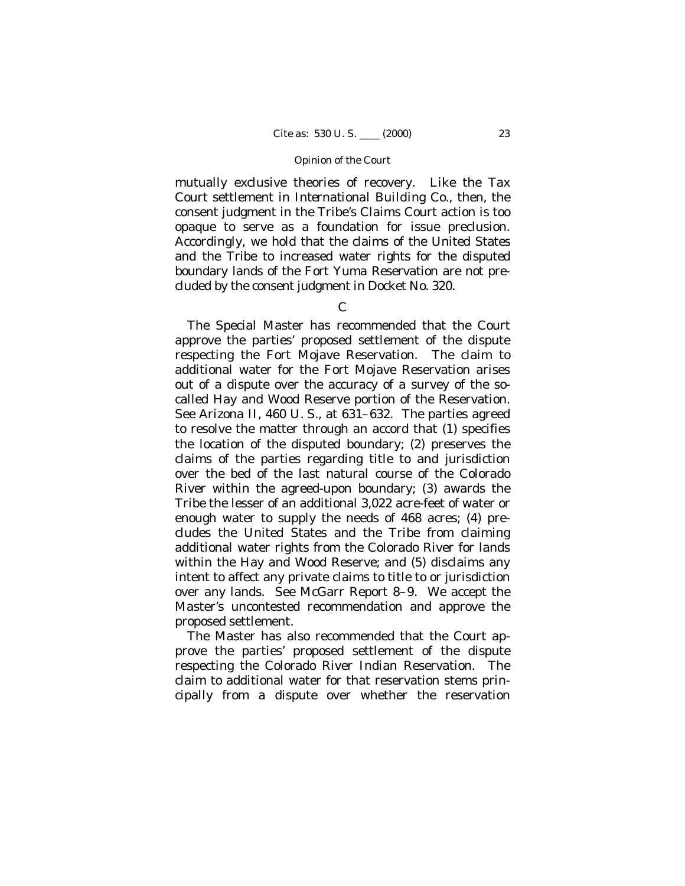mutually exclusive theories of recovery. Like the Tax Court settlement in *International Building Co.*, then, the consent judgment in the Tribe's Claims Court action is too opaque to serve as a foundation for issue preclusion. Accordingly, we hold that the claims of the United States and the Tribe to increased water rights for the disputed boundary lands of the Fort Yuma Reservation are not precluded by the consent judgment in Docket No. 320.

# C

The Special Master has recommended that the Court approve the parties' proposed settlement of the dispute respecting the Fort Mojave Reservation. The claim to additional water for the Fort Mojave Reservation arises out of a dispute over the accuracy of a survey of the socalled Hay and Wood Reserve portion of the Reservation. See *Arizona II*, 460 U. S., at 631–632. The parties agreed to resolve the matter through an accord that (1) specifies the location of the disputed boundary; (2) preserves the claims of the parties regarding title to and jurisdiction over the bed of the last natural course of the Colorado River within the agreed-upon boundary; (3) awards the Tribe the lesser of an additional 3,022 acre-feet of water or enough water to supply the needs of 468 acres; (4) precludes the United States and the Tribe from claiming additional water rights from the Colorado River for lands within the Hay and Wood Reserve; and (5) disclaims any intent to affect any private claims to title to or jurisdiction over any lands. See McGarr Report 8–9. We accept the Master's uncontested recommendation and approve the proposed settlement.

The Master has also recommended that the Court approve the parties' proposed settlement of the dispute respecting the Colorado River Indian Reservation. The claim to additional water for that reservation stems principally from a dispute over whether the reservation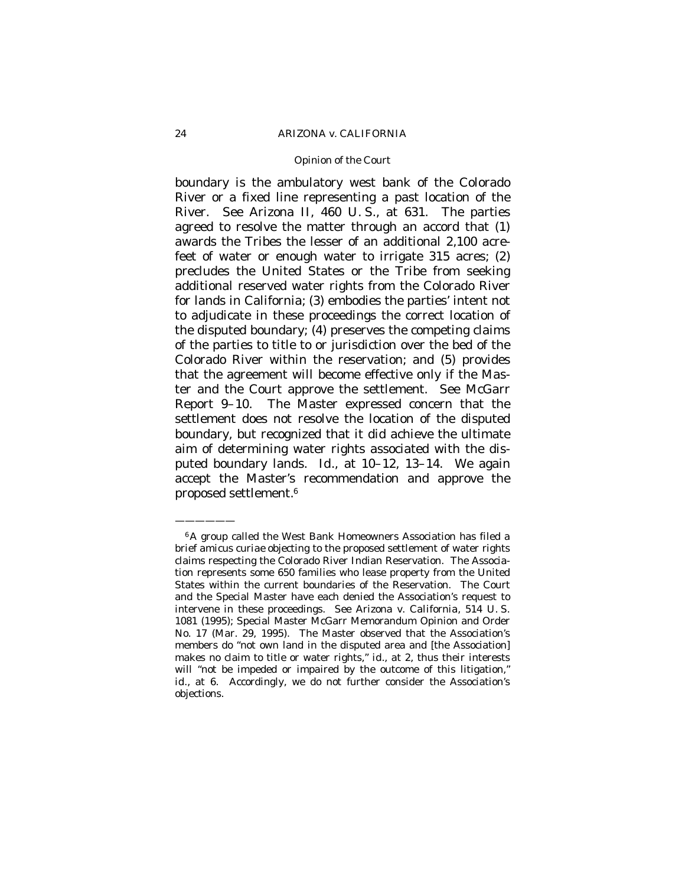#### Opinion of the Court

boundary is the ambulatory west bank of the Colorado River or a fixed line representing a past location of the River. See *Arizona II*, 460 U. S., at 631. The parties agreed to resolve the matter through an accord that (1) awards the Tribes the lesser of an additional 2,100 acrefeet of water or enough water to irrigate 315 acres; (2) precludes the United States or the Tribe from seeking additional reserved water rights from the Colorado River for lands in California; (3) embodies the parties' intent not to adjudicate in these proceedings the correct location of the disputed boundary; (4) preserves the competing claims of the parties to title to or jurisdiction over the bed of the Colorado River within the reservation; and (5) provides that the agreement will become effective only if the Master and the Court approve the settlement. See McGarr Report 9–10. The Master expressed concern that the settlement does not resolve the location of the disputed boundary, but recognized that it did achieve the ultimate aim of determining water rights associated with the disputed boundary lands. *Id.,* at 10–12, 13–14. We again accept the Master's recommendation and approve the proposed settlement.<sup>6</sup>

#### ——————

<sup>6</sup>A group called the West Bank Homeowners Association has filed a brief *amicus curiae* objecting to the proposed settlement of water rights claims respecting the Colorado River Indian Reservation. The Association represents some 650 families who lease property from the United States within the current boundaries of the Reservation. The Court and the Special Master have each denied the Association's request to intervene in these proceedings. See *Arizona* v. *California*, 514 U. S. 1081 (1995); Special Master McGarr Memorandum Opinion and Order No. 17 (Mar. 29, 1995). The Master observed that the Association's members do "not own land in the disputed area and [the Association] makes no claim to title or water rights," *id.,* at 2, thus their interests will "not be impeded or impaired by the outcome of this litigation," *id.,* at 6. Accordingly, we do not further consider the Association's objections.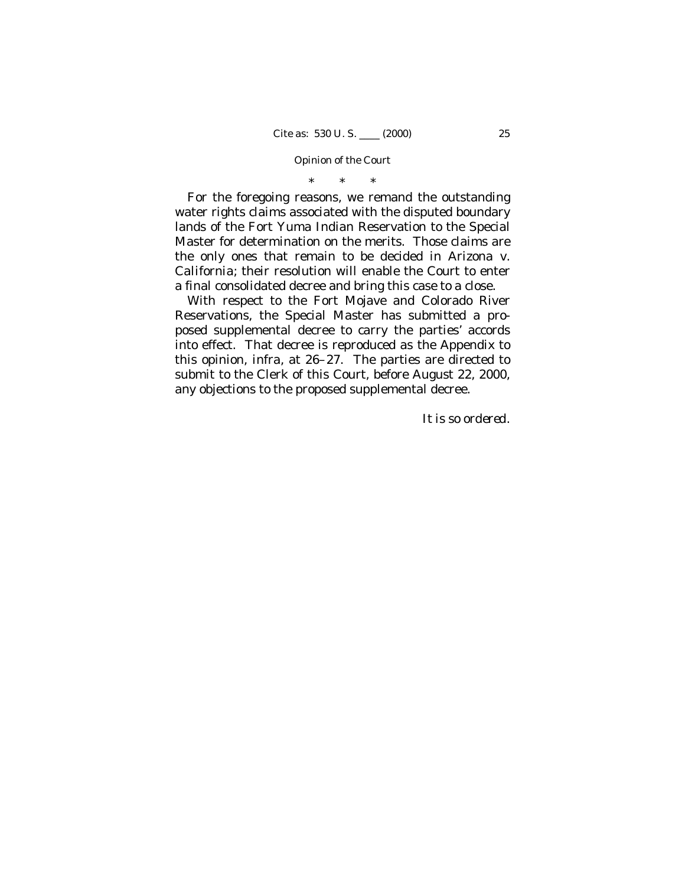\* \* \*

For the foregoing reasons, we remand the outstanding water rights claims associated with the disputed boundary lands of the Fort Yuma Indian Reservation to the Special Master for determination on the merits. Those claims are the only ones that remain to be decided in *Arizona* v. *California*; their resolution will enable the Court to enter a final consolidated decree and bring this case to a close.

With respect to the Fort Mojave and Colorado River Reservations, the Special Master has submitted a proposed supplemental decree to carry the parties' accords into effect. That decree is reproduced as the Appendix to this opinion, *infra*, at 26–27. The parties are directed to submit to the Clerk of this Court, before August 22, 2000, any objections to the proposed supplemental decree.

*It is so ordered.*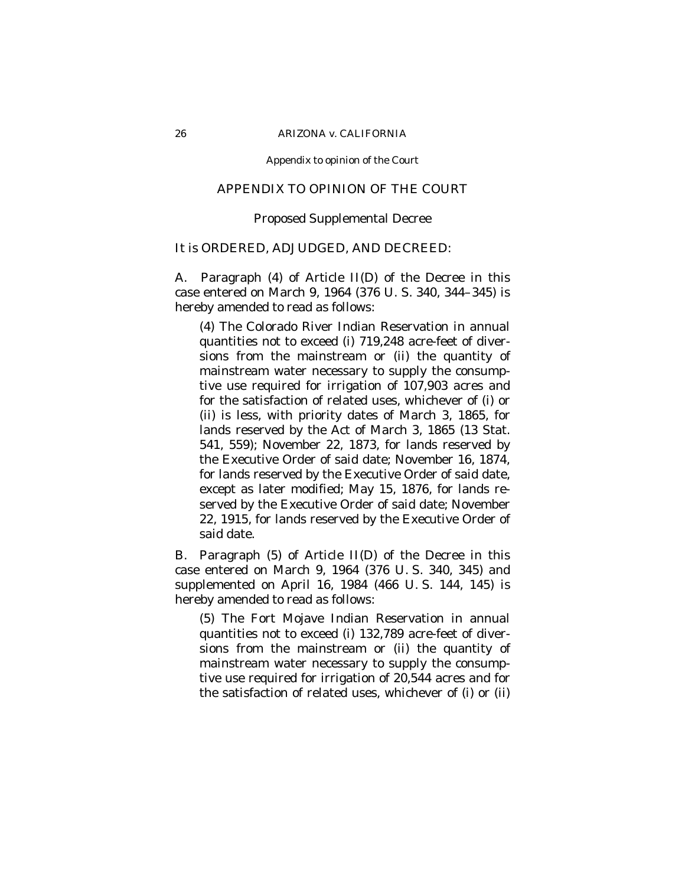#### Appendix to opinion of the Court

## APPENDIX TO OPINION OF THE COURT

# Proposed Supplemental Decree

## It is ORDERED, ADJUDGED, AND DECREED:

A. Paragraph (4) of Article II(D) of the Decree in this case entered on March 9, 1964 (376 U. S. 340, 344–345) is hereby amended to read as follows:

(4) The Colorado River Indian Reservation in annual quantities not to exceed (i) 719,248 acre-feet of diversions from the mainstream or (ii) the quantity of mainstream water necessary to supply the consumptive use required for irrigation of 107,903 acres and for the satisfaction of related uses, whichever of (i) or (ii) is less, with priority dates of March 3, 1865, for lands reserved by the Act of March 3, 1865 (13 Stat. 541, 559); November 22, 1873, for lands reserved by the Executive Order of said date; November 16, 1874, for lands reserved by the Executive Order of said date, except as later modified; May 15, 1876, for lands reserved by the Executive Order of said date; November 22, 1915, for lands reserved by the Executive Order of said date.

B. Paragraph (5) of Article II(D) of the Decree in this case entered on March 9, 1964 (376 U. S. 340, 345) and supplemented on April 16, 1984 (466 U. S. 144, 145) is hereby amended to read as follows:

(5) The Fort Mojave Indian Reservation in annual quantities not to exceed (i) 132,789 acre-feet of diversions from the mainstream or (ii) the quantity of mainstream water necessary to supply the consumptive use required for irrigation of 20,544 acres and for the satisfaction of related uses, whichever of (i) or (ii)